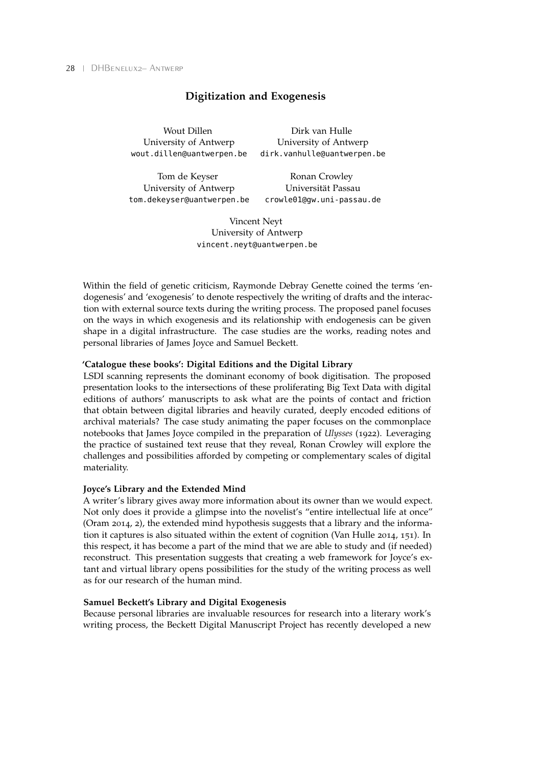# **Digitization and Exogenesis**

wout.dillen@uantwerpen.be dirk.vanhulle@uantwerpen.be

Wout Dillen Dirk van Hulle University of Antwerp University of Antwerp

Tom de Keyser Ronan Crowley University of Antwerp Universität Passau tom.dekeyser@uantwerpen.be crowle01@gw.uni-passau.de

Vincent Neyt University of Antwerp vincent.neyt@uantwerpen.be

Within the field of genetic criticism, Raymonde Debray Genette coined the terms 'endogenesis' and 'exogenesis' to denote respectively the writing of drafts and the interaction with external source texts during the writing process. The proposed panel focuses on the ways in which exogenesis and its relationship with endogenesis can be given shape in a digital infrastructure. The case studies are the works, reading notes and personal libraries of James Joyce and Samuel Beckett.

## **'Catalogue these books': Digital Editions and the Digital Library**

LSDI scanning represents the dominant economy of book digitisation. The proposed presentation looks to the intersections of these proliferating Big Text Data with digital editions of authors' manuscripts to ask what are the points of contact and friction that obtain between digital libraries and heavily curated, deeply encoded editions of archival materials? The case study animating the paper focuses on the commonplace notebooks that James Joyce compiled in the preparation of *Ulysses* (1922). Leveraging the practice of sustained text reuse that they reveal, Ronan Crowley will explore the challenges and possibilities afforded by competing or complementary scales of digital materiality.

#### **Joyce's Library and the Extended Mind**

A writer's library gives away more information about its owner than we would expect. Not only does it provide a glimpse into the novelist's "entire intellectual life at once" (Oram 2014, 2), the extended mind hypothesis suggests that a library and the information it captures is also situated within the extent of cognition (Van Hulle 2014, 151). In this respect, it has become a part of the mind that we are able to study and (if needed) reconstruct. This presentation suggests that creating a web framework for Joyce's extant and virtual library opens possibilities for the study of the writing process as well as for our research of the human mind.

### **Samuel Beckett's Library and Digital Exogenesis**

Because personal libraries are invaluable resources for research into a literary work's writing process, the Beckett Digital Manuscript Project has recently developed a new